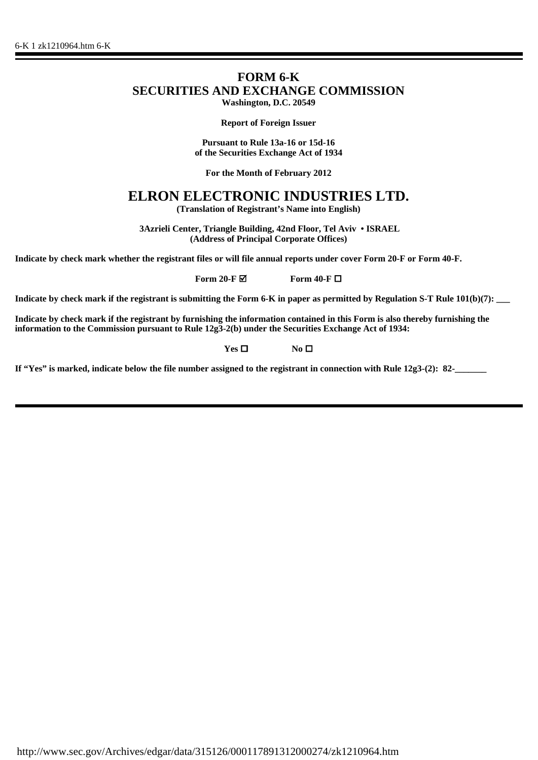## **FORM 6-K SECURITIES AND EXCHANGE COMMISSION Washington, D.C. 20549**

**Report of Foreign Issuer**

**Pursuant to Rule 13a-16 or 15d-16 of the Securities Exchange Act of 1934**

**For the Month of February 2012**

# **ELRON ELECTRONIC INDUSTRIES LTD.**

**(Translation of Registrant's Name into English)**

 **3Azrieli Center, Triangle Building, 42nd Floor, Tel Aviv • ISRAEL (Address of Principal Corporate Offices)**

**Indicate by check mark whether the registrant files or will file annual reports under cover Form 20-F or Form 40-F.**

**Form 20-F**  $\blacksquare$  **Form 40-F**  $\blacksquare$ 

**Indicate by check mark if the registrant is submitting the Form 6-K in paper as permitted by Regulation S-T Rule 101(b)(7):** 

**Indicate by check mark if the registrant by furnishing the information contained in this Form is also thereby furnishing the information to the Commission pursuant to Rule 12g3-2(b) under the Securities Exchange Act of 1934:**

**Yes □ No □** 

**If "Yes" is marked, indicate below the file number assigned to the registrant in connection with Rule 12g3-(2): 82-\_\_\_\_\_\_\_**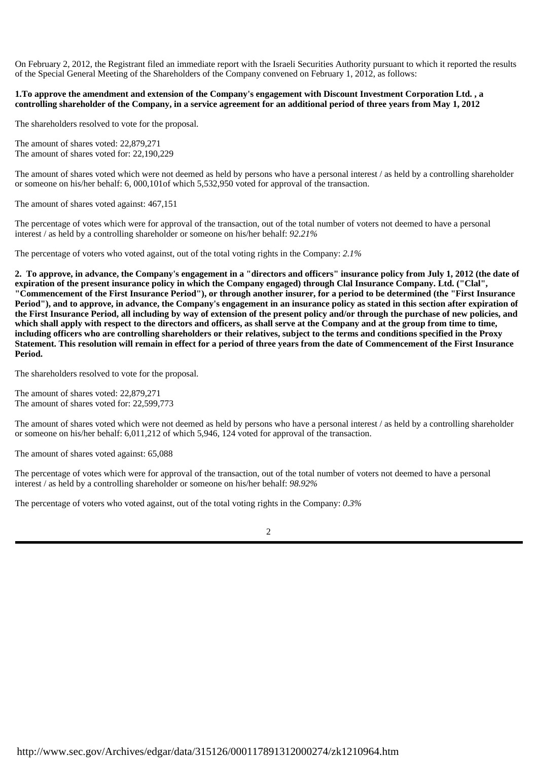On February 2, 2012, the Registrant filed an immediate report with the Israeli Securities Authority pursuant to which it reported the results of the Special General Meeting of the Shareholders of the Company convened on February 1, 2012, as follows:

#### **1.To approve the amendment and extension of the Company's engagement with Discount Investment Corporation Ltd. , a controlling shareholder of the Company, in a service agreement for an additional period of three years from May 1, 2012**

The shareholders resolved to vote for the proposal.

The amount of shares voted: 22,879,271 The amount of shares voted for: 22,190,229

The amount of shares voted which were not deemed as held by persons who have a personal interest / as held by a controlling shareholder or someone on his/her behalf: 6, 000,101of which 5,532,950 voted for approval of the transaction.

The amount of shares voted against: 467,151

The percentage of votes which were for approval of the transaction, out of the total number of voters not deemed to have a personal interest / as held by a controlling shareholder or someone on his/her behalf: *92.21%*

The percentage of voters who voted against, out of the total voting rights in the Company: *2.1%*

**2. To approve, in advance, the Company's engagement in a "directors and officers" insurance policy from July 1, 2012 (the date of expiration of the present insurance policy in which the Company engaged) through Clal Insurance Company. Ltd. ("Clal", "Commencement of the First Insurance Period"), or through another insurer, for a period to be determined (the "First Insurance Period"), and to approve, in advance, the Company's engagement in an insurance policy as stated in this section after expiration of the First Insurance Period, all including by way of extension of the present policy and/or through the purchase of new policies, and which shall apply with respect to the directors and officers, as shall serve at the Company and at the group from time to time, including officers who are controlling shareholders or their relatives, subject to the terms and conditions specified in the Proxy Statement. This resolution will remain in effect for a period of three years from the date of Commencement of the First Insurance Period.**

The shareholders resolved to vote for the proposal.

The amount of shares voted: 22,879,271 The amount of shares voted for: 22,599,773

The amount of shares voted which were not deemed as held by persons who have a personal interest / as held by a controlling shareholder or someone on his/her behalf: 6,011,212 of which 5,946, 124 voted for approval of the transaction.

The amount of shares voted against: 65,088

The percentage of votes which were for approval of the transaction, out of the total number of voters not deemed to have a personal interest / as held by a controlling shareholder or someone on his/her behalf: *98.92%*

The percentage of voters who voted against, out of the total voting rights in the Company: *0.3%*

| ۰,<br>ł<br>I<br>I<br>٦<br>٦ |  |  |
|-----------------------------|--|--|
|                             |  |  |
|                             |  |  |
|                             |  |  |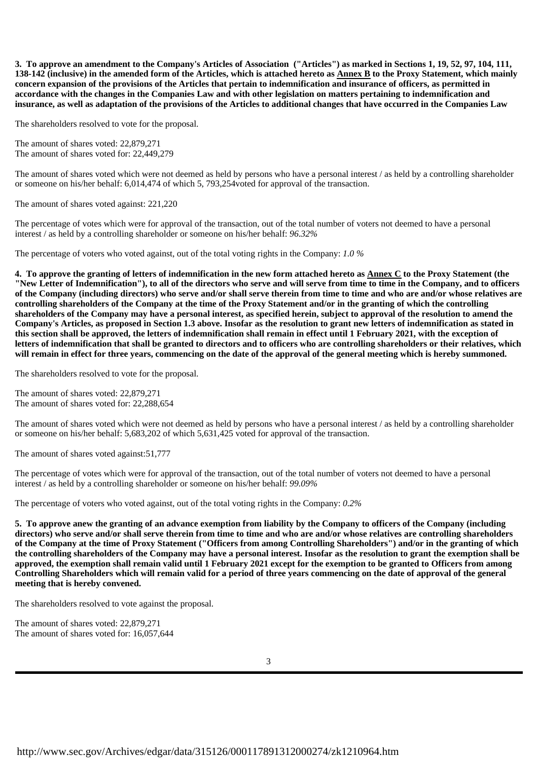**3. To approve an amendment to the Company's Articles of Association ("Articles") as marked in Sections 1, 19, 52, 97, 104, 111, 138-142 (inclusive) in the amended form of the Articles, which is attached hereto as Annex B to the Proxy Statement, which mainly concern expansion of the provisions of the Articles that pertain to indemnification and insurance of officers, as permitted in accordance with the changes in the Companies Law and with other legislation on matters pertaining to indemnification and insurance, as well as adaptation of the provisions of the Articles to additional changes that have occurred in the Companies Law**

The shareholders resolved to vote for the proposal.

The amount of shares voted: 22,879,271 The amount of shares voted for: 22,449,279

The amount of shares voted which were not deemed as held by persons who have a personal interest / as held by a controlling shareholder or someone on his/her behalf: 6,014,474 of which 5, 793,254voted for approval of the transaction.

The amount of shares voted against: 221,220

The percentage of votes which were for approval of the transaction, out of the total number of voters not deemed to have a personal interest / as held by a controlling shareholder or someone on his/her behalf: *96.32%*

The percentage of voters who voted against, out of the total voting rights in the Company: *1.0 %*

**4. To approve the granting of letters of indemnification in the new form attached hereto as Annex C to the Proxy Statement (the "New Letter of Indemnification"), to all of the directors who serve and will serve from time to time in the Company, and to officers of the Company (including directors) who serve and/or shall serve therein from time to time and who are and/or whose relatives are controlling shareholders of the Company at the time of the Proxy Statement and/or in the granting of which the controlling shareholders of the Company may have a personal interest, as specified herein, subject to approval of the resolution to amend the Company's Articles, as proposed in Section 1.3 above. Insofar as the resolution to grant new letters of indemnification as stated in this section shall be approved, the letters of indemnification shall remain in effect until 1 February 2021, with the exception of letters of indemnification that shall be granted to directors and to officers who are controlling shareholders or their relatives, which will remain in effect for three years, commencing on the date of the approval of the general meeting which is hereby summoned.**

The shareholders resolved to vote for the proposal.

The amount of shares voted: 22,879,271 The amount of shares voted for: 22,288,654

The amount of shares voted which were not deemed as held by persons who have a personal interest / as held by a controlling shareholder or someone on his/her behalf: 5,683,202 of which 5,631,425 voted for approval of the transaction.

The amount of shares voted against:51,777

The percentage of votes which were for approval of the transaction, out of the total number of voters not deemed to have a personal interest / as held by a controlling shareholder or someone on his/her behalf: *99.09%*

The percentage of voters who voted against, out of the total voting rights in the Company: *0.2%*

**5. To approve anew the granting of an advance exemption from liability by the Company to officers of the Company (including directors) who serve and/or shall serve therein from time to time and who are and/or whose relatives are controlling shareholders of the Company at the time of Proxy Statement ("Officers from among Controlling Shareholders") and/or in the granting of which the controlling shareholders of the Company may have a personal interest. Insofar as the resolution to grant the exemption shall be approved, the exemption shall remain valid until 1 February 2021 except for the exemption to be granted to Officers from among Controlling Shareholders which will remain valid for a period of three years commencing on the date of approval of the general meeting that is hereby convened.**

The shareholders resolved to vote against the proposal.

The amount of shares voted: 22,879,271 The amount of shares voted for: 16,057,644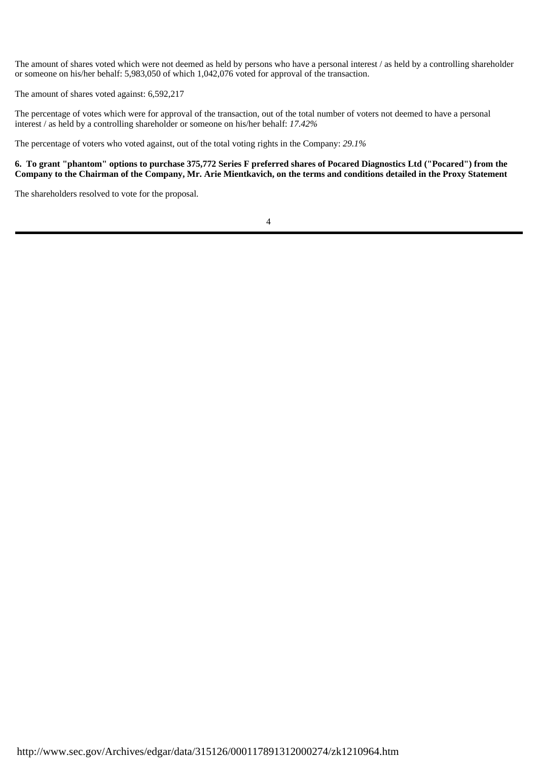The amount of shares voted which were not deemed as held by persons who have a personal interest / as held by a controlling shareholder or someone on his/her behalf: 5,983,050 of which 1,042,076 voted for approval of the transaction.

The amount of shares voted against: 6,592,217

The percentage of votes which were for approval of the transaction, out of the total number of voters not deemed to have a personal interest / as held by a controlling shareholder or someone on his/her behalf: *17.42%*

The percentage of voters who voted against, out of the total voting rights in the Company: *29.1%*

#### **6. To grant "phantom" options to purchase 375,772 Series F preferred shares of Pocared Diagnostics Ltd ("Pocared") from the Company to the Chairman of the Company, Mr. Arie Mientkavich, on the terms and conditions detailed in the Proxy Statement**

The shareholders resolved to vote for the proposal.